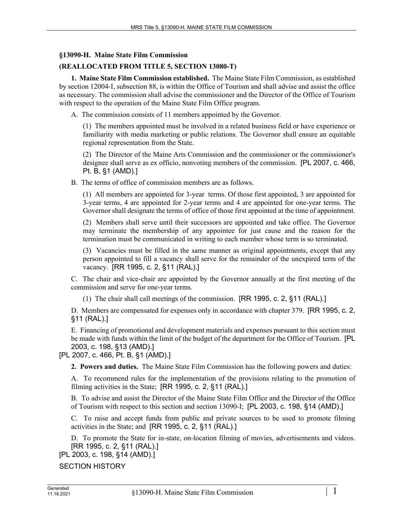## **§13090-H. Maine State Film Commission**

## **(REALLOCATED FROM TITLE 5, SECTION 13080-T)**

**1. Maine State Film Commission established.** The Maine State Film Commission, as established by section 12004‑I, subsection 88, is within the Office of Tourism and shall advise and assist the office as necessary. The commission shall advise the commissioner and the Director of the Office of Tourism with respect to the operation of the Maine State Film Office program.

A. The commission consists of 11 members appointed by the Governor.

(1) The members appointed must be involved in a related business field or have experience or familiarity with media marketing or public relations. The Governor shall ensure an equitable regional representation from the State.

(2) The Director of the Maine Arts Commission and the commissioner or the commissioner's designee shall serve as ex officio, nonvoting members of the commission. [PL 2007, c. 466, Pt. B, §1 (AMD).]

B. The terms of office of commission members are as follows.

(1) All members are appointed for 3-year terms. Of those first appointed, 3 are appointed for 3-year terms, 4 are appointed for 2-year terms and 4 are appointed for one-year terms. The Governor shall designate the terms of office of those first appointed at the time of appointment.

(2) Members shall serve until their successors are appointed and take office. The Governor may terminate the membership of any appointee for just cause and the reason for the termination must be communicated in writing to each member whose term is so terminated.

(3) Vacancies must be filled in the same manner as original appointments, except that any person appointed to fill a vacancy shall serve for the remainder of the unexpired term of the vacancy. [RR 1995, c. 2, §11 (RAL).]

C. The chair and vice-chair are appointed by the Governor annually at the first meeting of the commission and serve for one-year terms.

(1) The chair shall call meetings of the commission. [RR 1995, c. 2, §11 (RAL).]

D. Members are compensated for expenses only in accordance with chapter 379. [RR 1995, c. 2, §11 (RAL).]

E. Financing of promotional and development materials and expenses pursuant to this section must be made with funds within the limit of the budget of the department for the Office of Tourism. [PL 2003, c. 198, §13 (AMD).]

[PL 2007, c. 466, Pt. B, §1 (AMD).]

**2. Powers and duties.** The Maine State Film Commission has the following powers and duties:

A. To recommend rules for the implementation of the provisions relating to the promotion of filming activities in the State; [RR 1995, c. 2, §11 (RAL).]

B. To advise and assist the Director of the Maine State Film Office and the Director of the Office of Tourism with respect to this section and section 13090-I; [PL 2003, c. 198, §14 (AMD).]

C. To raise and accept funds from public and private sources to be used to promote filming activities in the State; and [RR 1995, c. 2, §11 (RAL).]

D. To promote the State for in-state, on-location filming of movies, advertisements and videos. [RR 1995, c. 2, §11 (RAL).]

[PL 2003, c. 198, §14 (AMD).]

SECTION HISTORY